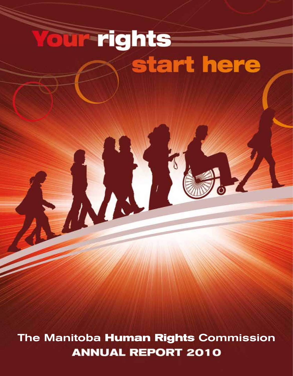## **our rights** start here

The Manitoba **Human Rights** Commission**ANNUAL REPORT 2010**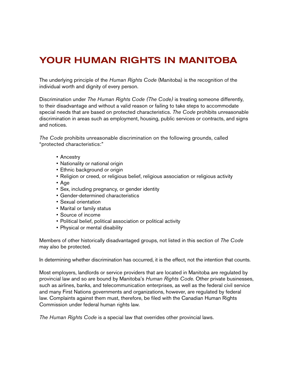## Your Human Rights in Manitoba

The underlying principle of the *Human Rights Code* (Manitoba) is the recognition of the individual worth and dignity of every person.

Discrimination under *The Human Rights Code (The Code)* is treating someone differently, to their disadvantage and without a valid reason or failing to take steps to accommodate special needs that are based on protected characteristics. *The Code* prohibits unreasonable discrimination in areas such as employment, housing, public services or contracts, and signs and notices.

*The Code* prohibits unreasonable discrimination on the following grounds, called "protected characteristics:"

- • Ancestry
- Nationality or national origin
- Ethnic background or origin
- • Religion or creed, or religious belief, religious association or religious activity
- • Age
- Sex, including pregnancy, or gender identity
- • Gender-determined characteristics
- • Sexual orientation
- • Marital or family status
- • Source of income
- Political belief, political association or political activity
- Physical or mental disability

Members of other historically disadvantaged groups, not listed in this section of *The Code* may also be protected.

In determining whether discrimination has occurred, it is the effect, not the intention that counts.

Most employers, landlords or service providers that are located in Manitoba are regulated by provincial law and so are bound by Manitoba's *Human Rights Code*. Other private businesses, such as airlines, banks, and telecommunication enterprises, as well as the federal civil service and many First Nations governments and organizations, however, are regulated by federal law. Complaints against them must, therefore, be filed with the Canadian Human Rights Commission under federal human rights law.

*The Human Rights Code* is a special law that overrides other provincial laws.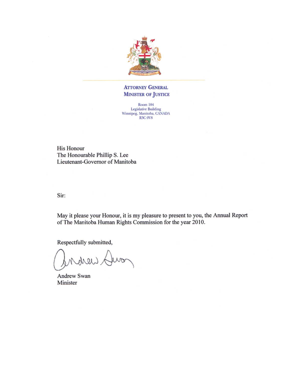

#### **ATTORNEY GENERAL MINISTER OF JUSTICE**

Room 104 Legislative Building<br>Winnipeg, Manitoba, CANADA<br>R3C 0V8

His Honour The Honourable Phillip S. Lee Lieutenant-Governor of Manitoba

Sir:

May it please your Honour, it is my pleasure to present to you, the Annual Report of The Manitoba Human Rights Commission for the year 2010.

Respectfully submitted,

Huon donond

Andrew Swan Minister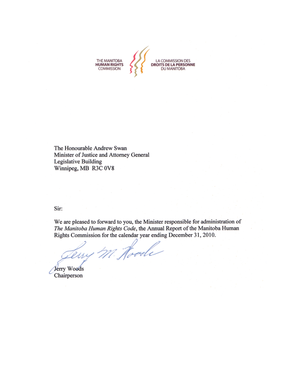THE MANITOBA<br>**HUMAN RIGHTS**<br>COMMISSION LA COMMISSION DES<br>DROITS DE LA PERSONNE DU MANITOBA

The Honourable Andrew Swan Minister of Justice and Attorney General Legislative Building Winnipeg, MB R3C 0V8

Sir:

We are pleased to forward to you, the Minister responsible for administration of The Manitoba Human Rights Code, the Annual Report of the Manitoba Human Rights Commission for the calendar year ending December 31, 2010.

eny M. Hoode

Jerry Woods Chairperson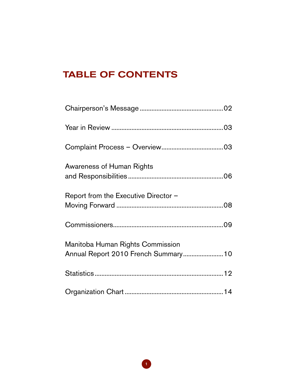## **TABLE OF CONTENTS**

| Awareness of Human Rights                                                |  |
|--------------------------------------------------------------------------|--|
| Report from the Executive Director -                                     |  |
|                                                                          |  |
| Manitoba Human Rights Commission<br>Annual Report 2010 French Summary 10 |  |
|                                                                          |  |
|                                                                          |  |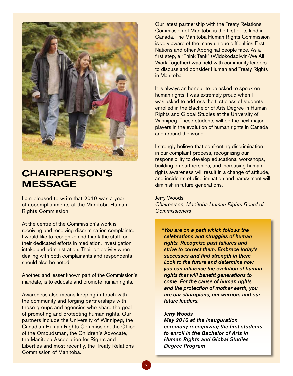

## Chairperson's **MESSAGE**

I am pleased to write that 2010 was a year of accomplishments at the Manitoba Human Rights Commission.

At the centre of the Commission's work is receiving and resolving discrimination complaints. I would like to recognize and thank the staff for their dedicated efforts in mediation, investigation, intake and administration. Their objectivity when dealing with both complainants and respondents should also be noted.

Another, and lesser known part of the Commission's mandate, is to educate and promote human rights.

Awareness also means keeping in touch with the community and forging partnerships with those groups and agencies who share the goal of promoting and protecting human rights. Our partners include the University of Winnipeg, the Canadian Human Rights Commission, the Office of the Ombudsman, the Children's Advocate, the Manitoba Association for Rights and Liberties and most recently, the Treaty Relations Commission of Manitoba.

Our latest partnership with the Treaty Relations Commission of Manitoba is the first of its kind in Canada. The Manitoba Human Rights Commission is very aware of the many unique difficulties First Nations and other Aboriginal people face. As a first step, a "Think Tank" (Widokodadiwin-We All Work Together) was held with community leaders to discuss and consider Human and Treaty Rights in Manitoba.

It is always an honour to be asked to speak on human rights. I was extremely proud when I was asked to address the first class of students enrolled in the Bachelor of Arts Degree in Human Rights and Global Studies at the University of Winnipeg. These students will be the next major players in the evolution of human rights in Canada and around the world.

I strongly believe that confronting discrimination in our complaint process, recognizing our responsibility to develop educational workshops, building on partnerships, and increasing human rights awareness will result in a change of attitude, and incidents of discrimination and harassment will diminish in future generations.

#### Jerry Woods

*Chairperson, Manitoba Human Rights Board of Commissioners*

*"You are on a path which follows the celebrations and struggles of human rights. Recognize past failures and strive to correct them. Embrace today's successes and find strength in them. Look to the future and determine how you can influence the evolution of human rights that will benefit generations to come. For the cause of human rights and the protection of mother earth, you are our champions, our warriors and our future leaders."* 

#### *Jerry Woods*

*May 2010 at the inauguration ceremony recognizing the first students to enroll in the Bachelor of Arts in Human Rights and Global Studies Degree Program*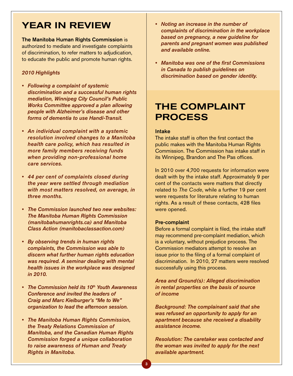## Year in Review

The Manitoba Human Rights Commission is authorized to mediate and investigate complaints of discrimination, to refer matters to adjudication, to educate the public and promote human rights.

#### *2010 Highlights*

- • Following a complaint of systemic *discrimination and a successful human rights mediation, Winnipeg City Council's Public Works Committee approved a plan allowing people with Alzheimer's disease and other forms of dementia to use Handi-Transit.*
- An individual complaint with a systemic *resolution involved changes to a Manitoba health care policy, which has resulted in more family members receiving funds when providing non-professional home care services.*
- 44 per cent of complaints closed during *the year were settled through mediation with most matters resolved, on average, in three months.*
- The Commission launched two new websites: *The Manitoba Human Rights Commission (manitobahumanrights.ca) and Manitoba Class Action (manitobaclassaction.com)*
- By observing trends in human rights *complaints, the Commission was able to discern what further human rights education was required. A seminar dealing with mental health issues in the workplace was designed in 2010.*
- **The Commission held its 10<sup>th</sup> Youth Awareness** *Conference and invited the leaders of Craig and Marc Kielburger's "Me to We" organization to lead the afternoon session.*
- • The Manitoba Human Rights Commission, *the Treaty Relations Commission of Manitoba, and the Canadian Human Rights Commission forged a unique collaboration to raise awareness of Human and Treaty Rights in Manitoba.*
- Noting an increase in the number of *complaints of discrimination in the workplace based on pregnancy, a new guideline for parents and pregnant women was published and available online.*
- Manitoba was one of the first Commissions *in Canada to publish guidelines on discrimination based on gender identity.*

## The Complaint **PROCESS**

#### Intake

The intake staff is often the first contact the public makes with the Manitoba Human Rights Commission. The Commission has intake staff in its Winnipeg, Brandon and The Pas offices.

In 2010 over 4,700 requests for information were dealt with by the intake staff. Approximately 9 per cent of the contacts were matters that directly related to *The Code*, while a further 19 per cent were requests for literature relating to human rights. As a result of these contacts, 428 files were opened.

#### Pre-complaint

Before a formal complaint is filed, the intake staff may recommend pre-complaint mediation, which is a voluntary, without prejudice process. The Commission mediators attempt to resolve an issue prior to the filing of a formal complaint of discrimination. In 2010, 27 matters were resolved successfully using this process.

Area and Ground(s): Alleged discrimination *in rental properties on the basis of source of income*

Background: The complainant said that she *was refused an opportunity to apply for an apartment because she received a disability assistance income.* 

Resolution: The caretaker was contacted and *the woman was invited to apply for the next available apartment.*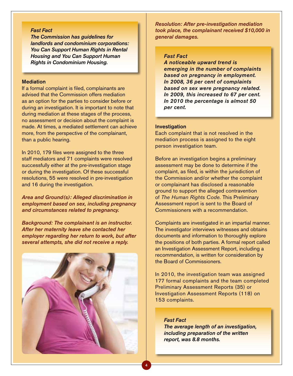#### *Fast Fact*

*The Commission has guidelines for*  landlords and condominium corporations: *You Can Support Human Rights in Rental Housing and You Can Support Human Rights in Condominium Housing.*

#### **Mediation**

If a formal complaint is filed, complainants are advised that the Commission offers mediation as an option for the parties to consider before or during an investigation. It is important to note that during mediation at these stages of the process, no assessment or decision about the complaint is made. At times, a mediated settlement can achieve more, from the perspective of the complainant, than a public hearing.

In 2010, 179 files were assigned to the three staff mediators and 71 complaints were resolved successfully either at the pre-investigation stage or during the investigation. Of these successful resolutions, 55 were resolved in pre-investigation and 16 during the investigation.

Area and Ground(s): Alleged discrimination in *employment based on sex, including pregnancy and circumstances related to pregnancy.* 

Background: The complainant is an instructor. *After her maternity leave she contacted her employer regarding her return to work, but after several attempts, she did not receive a reply.* 



Resolution: After pre-investigation mediation *took place, the complainant received \$10,000 in general damages.* 

#### *Fast Fact*

*A noticeable upward trend is emerging in the number of complaints based on pregnancy in employment. In 2008, 36 per cent of complaints based on sex were pregnancy related. In 2009, this increased to 67 per cent. In 2010 the percentage is almost 50 per cent.* 

#### Investigation

Each complaint that is not resolved in the mediation process is assigned to the eight person investigation team.

Before an investigation begins a preliminary assessment may be done to determine if the complaint, as filed, is within the jurisdiction of the Commission and/or whether the complaint or complainant has disclosed a reasonable ground to support the alleged contravention of *The Human Rights Code.* This Preliminary Assessment report is sent to the Board of Commissioners with a recommendation.

Complaints are investigated in an impartial manner. The investigator interviews witnesses and obtains documents and information to thoroughly explore the positions of both parties. A formal report called an Investigation Assessment Report, including a recommendation, is written for consideration by the Board of Commissioners.

In 2010, the investigation team was assigned 177 formal complaints and the team completed Preliminary Assessment Reports (35) or Investigation Assessment Reports (118) on 153 complaints.

*Fast Fact The average length of an investigation, including preparation of the written report, was 8.8 months.*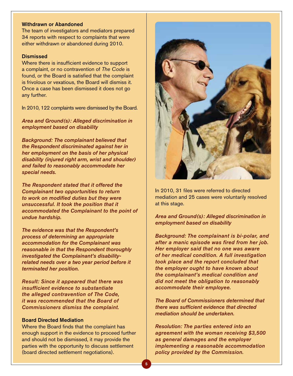#### Withdrawn or Abandoned

The team of investigators and mediators prepared 34 reports with respect to complaints that were either withdrawn or abandoned during 2010.

#### **Dismissed**

Where there is insufficient evidence to support a complaint, or no contravention of *The Code* is found, or the Board is satisfied that the complaint is frivolous or vexatious, the Board will dismiss it. Once a case has been dismissed it does not go any further.

In 2010, 122 complaints were dismissed by the Board.

Area and Ground(s): Alleged discrimination in *employment based on disability* 

Background: The complainant believed that *the Respondent discriminated against her in her employment on the basis of her physical disability (injured right arm, wrist and shoulder) and failed to reasonably accommodate her special needs.* 

*The Respondent stated that it offered the Complainant two opportunities to return to work on modified duties but they were unsuccessful. It took the position that it accommodated the Complainant to the point of undue hardship.* 

*The evidence was that the Respondent's process of determining an appropriate accommodation for the Complainant was reasonable in that the Respondent thoroughly investigated the Complainant's disabilityrelated needs over a two year period before it terminated her position.* 

Result: Since it appeared that there was *insufficient evidence to substantiate the alleged contravention of The Code, it was recommended that the Board of Commissioners dismiss the complaint.* 

#### Board Directed Mediation

Where the Board finds that the complaint has enough support in the evidence to proceed further and should not be dismissed, it may provide the parties with the opportunity to discuss settlement (board directed settlement negotiations).



In 2010, 31 files were referred to directed mediation and 25 cases were voluntarily resolved at this stage.

#### Area and Ground(s): Alleged discrimination in *employment based on disability*

Background: The complainant is bi-polar, and *after a manic episode was fired from her job. Her employer said that no one was aware of her medical condition. A full investigation took place and the report concluded that the employer ought to have known about the complainant's medical condition and did not meet the obligation to reasonably accommodate their employee.* 

*The Board of Commissioners determined that there was sufficient evidence that directed mediation should be undertaken.* 

Resolution: The parties entered into an *agreement with the woman receiving \$3,500 as general damages and the employer implementing a reasonable accommodation policy provided by the Commission.*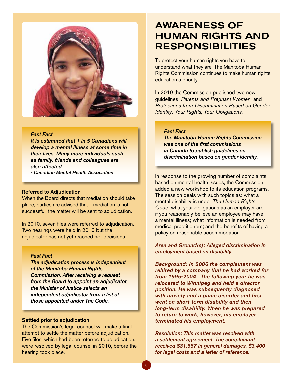

#### *Fast Fact*

*It is estimated that 1 in 5 Canadians will develop a mental illness at some time in their lives. Many more individuals such as family, friends and colleagues are also affected.* 

*- Canadian Mental Health Association*

#### Referred to Adjudication

When the Board directs that mediation should take place, parties are advised that if mediation is not successful, the matter will be sent to adjudication.

In 2010, seven files were referred to adjudication. Two hearings were held in 2010 but the adjudicator has not yet reached her decisions.

#### *Fast Fact*

*The adjudication process is independent of the Manitoba Human Rights Commission. After receiving a request from the Board to appoint an adjudicator, the Minister of Justice selects an independent adjudicator from a list of those appointed under The Code.* 

#### Settled prior to adjudication

The Commission's legal counsel will make a final attempt to settle the matter before adjudication. Five files, which had been referred to adjudication, were resolved by legal counsel in 2010, before the hearing took place.

## Awareness of human rights and **RESPONSIBILITIES**

To protect your human rights you have to understand what they are. The Manitoba Human Rights Commission continues to make human rights education a priority.

In 2010 the Commission published two new guidelines: *Parents and Pregnant Women,* and *Protections from Discrimination Based on Gender Identity; Your Rights, Your Obligations.* 

#### *Fast Fact*

*The Manitoba Human Rights Commission was one of the first commissions in Canada to publish guidelines on discrimination based on gender identity.* 

In response to the growing number of complaints based on mental health issues, the Commission added a new workshop to its education programs. The session deals with such topics as: what a mental disability is under *The Human Rights Code*; what your obligations as an employer are if you reasonably believe an employee may have a mental illness; what information is needed from medical practitioners; and the benefits of having a policy on reasonable accommodation.

Area and Ground(s): Alleged discrimination in *employment based on disability* 

Background: In 2006 the complainant was *rehired by a company that he had worked for*  from 1995-2004. The following year he was *relocated to Winnipeg and held a director position. He was subsequently diagnosed with anxiety and a panic disorder and first went on short-term disability and then long-term disability. When he was prepared to return to work, however, his employer terminated his employment.*

Resolution: This matter was resolved with *a settlement agreement. The complainant*  received \$31,667 in general damages, \$3,400 *for legal costs and a letter of reference.*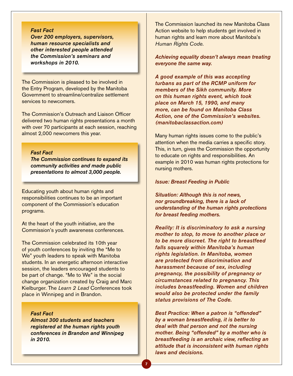#### *Fast Fact*

*Over 200 employers, supervisors, human resource specialists and other interested people attended the Commission's seminars and workshops in 2010.* 

The Commission is pleased to be involved in the Entry Program, developed by the Manitoba Government to streamline/centralize settlement services to newcomers.

The Commission's Outreach and Liaison Officer delivered two human rights presentations a month with over 70 participants at each session, reaching almost 2,000 newcomers this year.

### *Fast Fact*

*The Commission continues to expand its community activities and made public presentations to almost 3,000 people.* 

Educating youth about human rights and responsibilities continues to be an important component of the Commission's education programs.

At the heart of the youth initiative, are the Commission's youth awareness conferences.

The Commission celebrated its 10th year of youth conferences by inviting the "Me to We" youth leaders to speak with Manitoba students. In an energetic afternoon interactive session, the leaders encouraged students to be part of change. "Me to We" is the social change organization created by Craig and Marc Kielburger. The *Learn 2 Lead* Conferences took place in Winnipeg and in Brandon.

*Fast Fact*

*Almost 300 students and teachers registered at the human rights youth conferences in Brandon and Winnipeg in 2010.* 

The Commission launched its new Manitoba Class Action website to help students get involved in human rights and learn more about Manitoba's *Human Rights Code*.

*Achieving equality doesn't always mean treating everyone the same way.* 

*A good example of this was accepting turbans as part of the RCMP uniform for members of the Sikh community. More on this human rights event, which took place on March 15, 1990, and many more, can be found on Manitoba Class Action, one of the Commission's websites. (manitobaclassaction.com)*

Many human rights issues come to the public's attention when the media carries a specific story. This, in turn, gives the Commission the opportunity to educate on rights and responsibilities. An example in 2010 was human rights protections for nursing mothers.

#### Issue: Breast Feeding in Public

Situation: Although this is not news, *nor groundbreaking, there is a lack of understanding of the human rights protections for breast feeding mothers.*

Reality: It is discriminatory to ask a nursing *mother to stop, to move to another place or to be more discreet. The right to breastfeed falls squarely within Manitoba's human rights legislation. In Manitoba, women are protected from discrimination and harassment because of sex, including pregnancy, the possibility of pregnancy or circumstances related to pregnancy. This includes breastfeeding. Women and children would also be protected under the family status provisions of The Code.*

Best Practice: When a patron is "offended" *by a woman breastfeeding, it is better to deal with that person and not the nursing mother. Being "offended" by a mother who is breastfeeding is an archaic view, reflecting an attitude that is inconsistent with human rights laws and decisions.*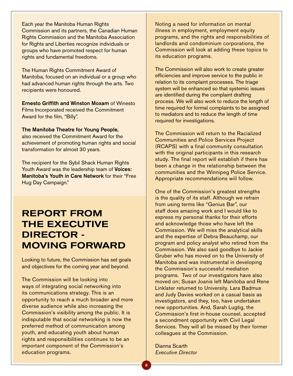Each year the Manitoba Human Rights Commission and its partners, the Canadian Human Rights Commission and the Manitoba Association for Rights and Liberties recognize individuals or groups who have promoted respect for human rights and fundamental freedoms.

The Human Rights Commitment Award of Manitoba, focused on an individual or a group who had advanced human rights through the arts. Two recipients were honoured.

Ernesto Griffith and Winston Moxam of Winesto Films Incorporated received the Commitment Award for the film, "Billy".

The Manitoba Theatre for Young People, also received the Commitment Award for the achievement of promoting human rights and social transformation for almost 30 years.

The recipient for the Sybil Shack Human Rights Youth Award was the leadership team of Voices: Manitoba's Youth in Care Network for their "Free Hug Day Campaign."

## Report from the Executive DIRECTOR -Moving forward

Looking to future, the Commission has set goals and objectives for the coming year and beyond.

The Commission will be looking into ways of integrating social networking into its communications strategy. This is an opportunity to reach a much broader and more diverse audience while also increasing the Commission's visibility among the public. It is indisputable that social networking is now the preferred method of communication among youth, and educating youth about human rights and responsibilities continues to be an important component of the Commission's education programs.

Noting a need for information on mental illness in employment, employment equity programs, and the rights and responsibilities of landlords and condominium corporations, the Commission will look at adding these topics to its education programs.

The Commission will also work to create greater efficiencies and improve service to the public in relation to its complaint processes. The triage system will be enhanced so that systemic issues are identified during the complaint drafting process. We will also work to reduce the length of time required for formal complaints to be assigned to mediators and to reduce the length of time required for investigations.

The Commission will return to the Racialized Communities and Police Services Project (RCAPS) with a final community consultation with the original participants in this research study. The final report will establish if there has been a change in the relationship between the communities and the Winnipeg Police Service. Appropriate recommendations will follow.

One of the Commission's greatest strengths is the quality of its staff. Although we refrain from using terms like "Genius Bar", our staff does amazing work and I would like to express my personal thanks for their efforts and acknowledge those who have left the Commission. We will miss the analytical skills and the expertise of Debra Beauchamp, our program and policy analyst who retired from the Commission. We also said goodbye to Jackie Gruber who has moved on to the University of Manitoba and was instrumental in developing the Commission's successful mediation programs. Two of our investigators have also moved on; Susan Joanis left Manitoba and Rene Linklater returned to University. Lara Badmus and Judy Davies worked on a casual basis as investigators, and they, too, have undertaken new opportunities. And, Sarah Lugtig, the Commission's first in-house counsel, accepted a secondment opportunity with Civil Legal Services. They will all be missed by their former colleagues at the Commission.

Dianna Scarth *Executive Director*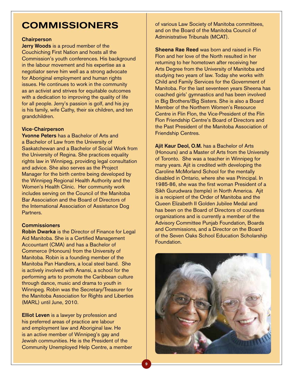## **COMMISSIONERS**

#### **Chairperson**

Jerry Woods is a proud member of the Couchiching First Nation and hosts all the Commission's youth conferences. His background in the labour movement and his expertise as a negotiator serve him well as a strong advocate for Aboriginal employment and human rights issues. He continues to work in the community as an activist and strives for equitable outcomes with a dedication to improving the quality of life for all people. Jerry's passion is golf, and his joy is his family, wife Cathy, their six children, and ten grandchildren.

#### Vice-Chairperson

Yvonne Peters has a Bachelor of Arts and a Bachelor of Law from the University of Saskatchewan and a Bachelor of Social Work from the University of Regina. She practices equality rights law in Winnipeg, providing legal consultation and advice. She also serves as the Project Manager for the birth centre being developed by the Winnipeg Regional Health Authority and the Women's Health Clinic. Her community work includes serving on the Council of the Manitoba Bar Association and the Board of Directors of the International Association of Assistance Dog Partners.

#### **Commissioners**

Robin Dwarka is the Director of Finance for Legal Aid Manitoba. She is a Certified Management Accountant (CMA) and has a Bachelor of Commerce (Honours) from the University of Manitoba. Robin is a founding member of the Manitoba Pan Handlers, a local steel band. She is actively involved with Anansi, a school for the performing arts to promote the Caribbean culture through dance, music and drama to youth in Winnipeg. Robin was the Secretary/Treasurer for the Manitoba Association for Rights and Liberties (MARL) until June, 2010.

**Elliot Leven** is a lawyer by profession and his preferred areas of practice are labour and employment law and Aboriginal law. He is an active member of Winnipeg's gay and Jewish communities. He is the President of the Community Unemployed Help Centre, a member of various Law Society of Manitoba committees, and on the Board of the Manitoba Council of Administrative Tribunals (MCAT).

**Sheena Rae Reed was born and raised in Flin** Flon and her love of the North resulted in her returning to her hometown after receiving her Arts Degree from the University of Manitoba and studying two years of law. Today she works with Child and Family Services for the Government of Manitoba. For the last seventeen years Sheena has coached girls' gymnastics and has been involved in Big Brothers/Big Sisters. She is also a Board Member of the Northern Women's Resource Centre in Flin Flon, the Vice-President of the Flin Flon Friendship Centre's Board of Directors and the Past President of the Manitoba Association of Friendship Centres.

Ajit Kaur Deol, O.M. has a Bachelor of Arts (Honours) and a Master of Arts from the University of Toronto. She was a teacher in Winnipeg for many years. Ajit is credited with developing the Caroline McMorland School for the mentally disabled in Ontario, where she was Principal. In 1985-86, she was the first woman President of a Sikh Gurudwara (temple) in North America. Ajit is a recipient of the Order of Manitoba and the Queen Elizabeth II Golden Jubilee Medal and has been on the Board of Directors of countless organizations and is currently a member of the Advisory Committee Punjab Foundation, Boards and Commissions, and a Director on the Board of the Seven Oaks School Education Scholarship Foundation.

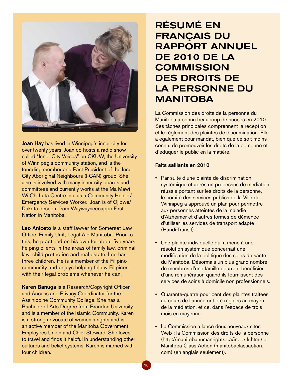

Joan Hay has lived in Winnipeg's inner city for over twenty years. Joan co-hosts a radio show called "Inner City Voices" on CKUW, the University of Winnipeg's community station, and is the founding member and Past President of the Inner City Aboriginal Neighbours (I-CAN) group. She also is involved with many inner city boards and committees and currently works at the Ma Mawi Wi Chi Itata Centre Inc. as a Community Helper/ Emergency Services Worker. Joan is of Ojibwe/ Dakota descent from Waywayseecappo First Nation in Manitoba.

Leo Aniceto is a staff lawyer for Somerset Law Office, Family Unit, Legal Aid Manitoba. Prior to this, he practiced on his own for about five years helping clients in the areas of family law, criminal law, child protection and real estate. Leo has three children. He is a member of the Filipino community and enjoys helping fellow Filipinos with their legal problems whenever he can.

Karen Banuga is a Research/Copyright Officer and Access and Privacy Coordinator for the Assiniboine Community College. She has a Bachelor of Arts Degree from Brandon University and is a member of the Islamic Community. Karen is a strong advocate of women's rights and is an active member of the Manitoba Government Employees Union and Chief Steward. She loves to travel and finds it helpful in understanding other cultures and belief systems. Karen is married with four children.

## Résumé en français du rapport annuel de 2010 de la **COMMISSION** des droits de la personne du **MANITOBA**

La Commission des droits de la personne du Manitoba a connu beaucoup de succès en 2010. Ses tâches principales comprennent la réception et le règlement des plaintes de discrimination. Elle a également pour mandat, bien que ce soit moins connu, de promouvoir les droits de la personne et d'éduquer le public en la matière.

#### Faits saillants en 2010

- Par suite d'une plainte de discrimination systémique et après un processus de médiation réussie portant sur les droits de la personne, le comité des services publics de la Ville de Winnipeg a approuvé un plan pour permettre aux personnes atteintes de la maladie d'Alzheimer et d'autres formes de démence d'utiliser les services de transport adapté (Handi-Transit).
- Une plainte individuelle qui a mené à une résolution systémique concernait une modification de la politique des soins de santé du Manitoba. Désormais un plus grand nombre de membres d'une famille pourront bénéficier d'une rémunération quand ils fournissent des services de soins à domicile non professionnels.
- Cuarante-quatre pour cent des plaintes traitées au cours de l'année ont été réglées au moyen de la médiation, et ce, dans l'espace de trois mois en moyenne.
- La Commission a lancé deux nouveaux sites Web : la Commission des droits de la personne (http://manitobahumanrights.ca/index.fr.html) et Manitoba Class Action (manitobaclassaction. com) (en anglais seulement).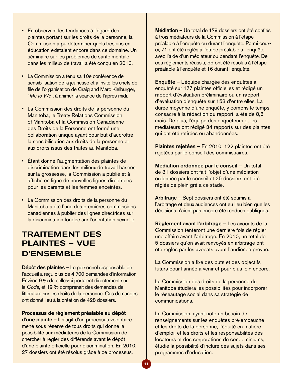- En observant les tendances à l'égard des plaintes portant sur les droits de la personne, la Commission a pu déterminer quels besoins en éducation existaient encore dans ce domaine. Un séminaire sur les problèmes de santé mentale dans les milieux de travail a été conçu en 2010.
- La Commission a tenu sa 10e conférence de sensibilisation de la jeunesse et a invité les chefs de file de l'organisation de Craig and Marc Kielburger, "*Me to We"*, à animer la séance de l'après-midi.
- La Commission des droits de la personne du Manitoba, le Treaty Relations Commission of Manitoba et la Commission Canadienne des Droits de la Personne ont formé une collaboration unique ayant pour but d'accroître la sensibilisation aux droits de la personne et aux droits issus des traités au Manitoba.
- Étant donné l'augmentation des plaintes de discrimination dans les milieux de travail basées sur la grossesse, la Commission a publié et à affiché en ligne de nouvelles lignes directrices pour les parents et les femmes enceintes.
- • La Commission des droits de la personne du Manitoba a été l'une des premières commissions canadiennes à publier des lignes directrices sur la discrimination fondée sur l'orientation sexuelle.

### Traitement des plaintes – Vue d'ensemble

Dépôt des plaintes – Le personnel responsable de l'accueil a reçu plus de 4 700 demandes d'information. Environ 9 % de celles-ci portaient directement sur le *Code*, et 19 % comprenait des demandes de littérature sur les droits de la personne. Ces demandes ont donné lieu à la création de 428 dossiers.

#### Processus de règlement préalable au dépôt

d'une plainte – Il s'agit d'un processus volontaire mené sous réserve de tous droits qui donne la possibilité aux médiateurs de la Commission de chercher à régler des différends avant le dépôt d'une plainte officielle pour discrimination. En 2010, 27 dossiers ont été résolus grâce à ce processus.

Médiation – Un total de 179 dossiers ont été confiés à trois médiateurs de la Commission à l'étape préalable à l'enquête ou durant l'enquête. Parmi ceuxci, 71 ont été réglés à l'étape préalable à l'enquête avec l'aide d'un médiateur ou pendant l'enquête. De ces règlements réussis, 55 ont été résolus à l'étape préalable à l'enquête et 16 durant l'enquête.

Enquête – L'équipe chargée des enquêtes a enquêté sur 177 plaintes officielles et rédigé un rapport d'évaluation préliminaire ou un rapport d'évaluation d'enquête sur 153 d'entre elles. La durée moyenne d'une enquête, y compris le temps consacré à la rédaction du rapport, a été de 8,8 mois. De plus, l'équipe des enquêteurs et les médiateurs ont rédigé 34 rapports sur des plaintes qui ont été retirées ou abandonnées.

Plaintes rejetées – En 2010, 122 plaintes ont été rejetées par le conseil des commissaires.

Médiation ordonnée par le conseil – Un total de 31 dossiers ont fait l'objet d'une médiation ordonnée par le conseil et 25 dossiers ont été réglés de plein gré à ce stade.

Arbitrage – Sept dossiers ont été soumis à l'arbitrage et deux audiences ont eu lieu bien que les décisions n'aient pas encore été rendues publiques.

Règlement avant l'arbitrage – Les avocats de la Commission tenteront une dernière fois de régler une affaire avant l'arbitrage. En 2010, un total de 5 dossiers qu'on avait renvoyés en arbitrage ont été réglés par les avocats avant l'audience prévue.

La Commission a fixé des buts et des objectifs futurs pour l'année à venir et pour plus loin encore.

La Commission des droits de la personne du Manitoba étudiera les possibilités pour incorporer le réseautage social dans sa stratégie de communications.

La Commission, ayant noté un besoin de renseignements sur les enquêtes pré-embauche et les droits de la personne, l'équité en matière d'emploi, et les droits et les responsabilités des locateurs et des corporations de condominiums, étudie la possibilité d'inclure ces sujets dans ses programmes d'éducation.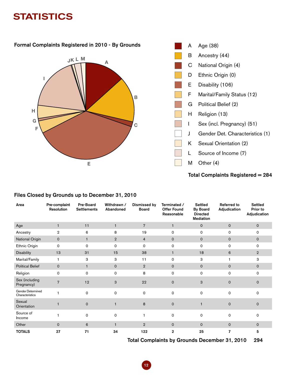## **STATISTICS**



| Area                                 | Pre-complaint<br><b>Resolution</b> | Pre-Board<br><b>Settlements</b> | Withdrawn /<br>Abandoned | <b>Dismissed by</b><br><b>Board</b> | Terminated /<br><b>Offer Found</b><br>Reasonable | <b>Settled</b><br><b>By Board</b><br><b>Directed</b><br><b>Mediation</b> | <b>Referred to</b><br>Adjudication | <b>Settled</b><br>Prior to<br>Adjudication |
|--------------------------------------|------------------------------------|---------------------------------|--------------------------|-------------------------------------|--------------------------------------------------|--------------------------------------------------------------------------|------------------------------------|--------------------------------------------|
| Age                                  | $\mathbf{1}$                       | 11                              | $\blacksquare$           | $\overline{7}$                      | $\mathbf{1}$                                     | $\mathsf{o}$                                                             | $\mathbf 0$                        | $\mathbf 0$                                |
| Ancestry                             | $\overline{2}$                     | 6                               | 8                        | 19                                  | 0                                                | 0                                                                        | 0                                  | 0                                          |
| National Origin                      | $\mathbf 0$                        | $\mathbf{1}$                    | $\overline{2}$           | $\overline{4}$                      | $\mathbf{0}$                                     | $\mathsf{O}$                                                             | $\mathbf 0$                        | $\mathbf 0$                                |
| Ethnic Origin                        | $\mathsf{o}$                       | $\Omega$                        | $\Omega$                 | $\Omega$                            | 0                                                | 0                                                                        | 0                                  | 0                                          |
| <b>Disability</b>                    | 13                                 | 31                              | 15                       | 38                                  | $\mathbf{1}$                                     | 18                                                                       | 6                                  | $\overline{2}$                             |
| Marital/Family                       | -1                                 | 3                               | 3                        | 11                                  | 0                                                | 3                                                                        | 1                                  | 3                                          |
| <b>Political Belief</b>              | $\mathbf 0$                        | $\mathbf{1}$                    | $\mathbf 0$              | $\overline{2}$                      | $\mathbf 0$                                      | $\mathbf 0$                                                              | $\mathbf{O}$                       | $\mathbf 0$                                |
| Religion                             | 0                                  | 0                               | 0                        | 8                                   | $\mathsf{o}$                                     | 0                                                                        | 0                                  | $\mathsf{o}$                               |
| Sex (including<br>Pregnancy)         | $\overline{7}$                     | 12                              | 3                        | 22                                  | $\Omega$                                         | 3                                                                        | $\mathbf 0$                        | $\mathbf 0$                                |
| Gender Determined<br>Characteristics |                                    | $\Omega$                        | $\Omega$                 | $\Omega$                            | $\Omega$                                         | 0                                                                        | $\Omega$                           | $\Omega$                                   |
| Sexual<br>Orientation                |                                    | $\Omega$                        |                          | 8                                   | $\Omega$                                         |                                                                          | $\mathsf{O}\xspace$                | $\mathbf 0$                                |
| Source of<br>Income                  |                                    | 0                               | 0                        | 1                                   | 0                                                | 0                                                                        | 0                                  | 0                                          |
| Other                                | $\Omega$                           | 6                               | $\mathbf{1}$             | $\overline{2}$                      | $\Omega$                                         | $\mathsf{O}$                                                             | $\mathbf 0$                        | $\Omega$                                   |
| <b>TOTALS</b>                        | 27                                 | 71                              | 34                       | 122                                 | 2                                                | 25                                                                       | 7                                  | 5                                          |

#### Files Closed by Grounds up to December 31, 2010

Total Complaints by Grounds December 31, 2010 294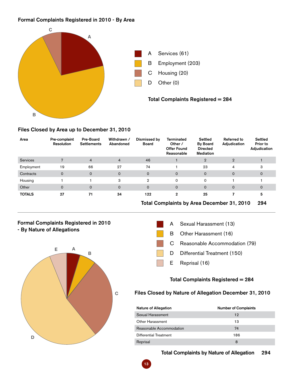#### Formal Complaints Registered in 2010 - By Area



#### Files Closed by Area up to December 31, 2010

| Area          | Pre-complaint<br>Resolution | <b>Pre-Board</b><br><b>Settlements</b> | Withdrawn /<br>Abandoned | Dismissed by<br><b>Board</b> | <b>Terminated</b><br>Other /<br><b>Offer Found</b><br>Reasonable | <b>Settled</b><br><b>By Board</b><br><b>Directed</b><br><b>Mediation</b> | <b>Referred to</b><br>Adjudication | Settled<br>Prior to<br>Adjudication |
|---------------|-----------------------------|----------------------------------------|--------------------------|------------------------------|------------------------------------------------------------------|--------------------------------------------------------------------------|------------------------------------|-------------------------------------|
| Services      | 7                           | $\overline{4}$                         | $\overline{4}$           | 46                           |                                                                  | $\overline{2}$                                                           | $\overline{2}$                     |                                     |
| Employment    | 19                          | 66                                     | 27                       | 74                           |                                                                  | 23                                                                       | $\overline{4}$                     | 3                                   |
| Contracts     | $\mathbf 0$                 | $\mathbf 0$                            | $\mathbf 0$              | $\mathbf 0$                  | $\mathbf{0}$                                                     | $\mathbf 0$                                                              | $\mathbf 0$                        | $\mathbf 0$                         |
| Housing       |                             |                                        | 3                        | $\overline{2}$               | 0                                                                | 0                                                                        |                                    |                                     |
| Other         | $\mathbf 0$                 | $\mathbf 0$                            | $\mathbf 0$              | $\mathbf 0$                  | $\mathbf{0}$                                                     | 0                                                                        | $\mathbf 0$                        | $\mathbf 0$                         |
| <b>TOTALS</b> | 27                          | 71                                     | 34                       | 122                          | $\mathbf 2$                                                      | 25                                                                       |                                    | 5                                   |

#### Total Complaints by Area December 31, 2010 294

#### Formal Complaints Registered in 2010 - By Nature of Allegations





#### Total Complaints Registered = 284

### Files Closed by Nature of Allegation December 31, 2010

| <b>Nature of Allegation</b> | <b>Number of Complaints</b> |
|-----------------------------|-----------------------------|
| Sexual Harassment           | 12                          |
| Other Harassment            | 13                          |
| Reasonable Accommodation    | 74                          |
| Differential Treatment      | 186                         |
| Reprisal                    | 8                           |

### Total Complaints by Nature of Allegation 294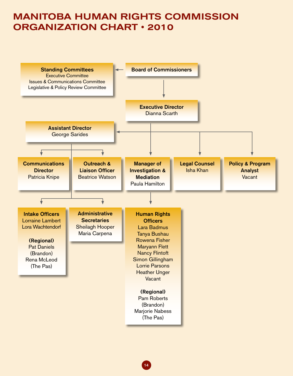## MANITOBA HUMAN RIGHTS COMMISSION ORGANIZATION CHART • 2010



14